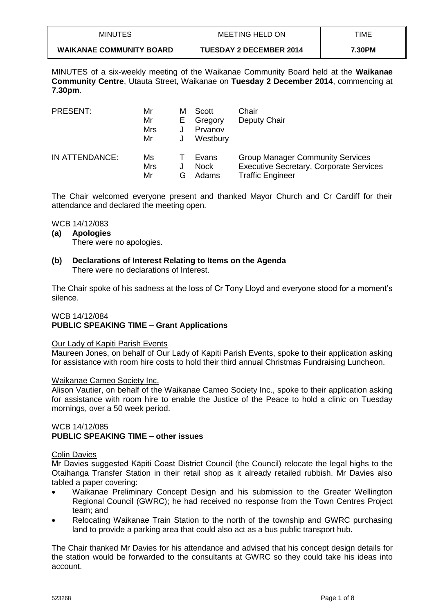| <b>MINUTES</b>                  | MEETING HELD ON                | TIME   |
|---------------------------------|--------------------------------|--------|
| <b>WAIKANAE COMMUNITY BOARD</b> | <b>TUESDAY 2 DECEMBER 2014</b> | 7.30PM |

MINUTES of a six-weekly meeting of the Waikanae Community Board held at the **Waikanae Community Centre**, Utauta Street, Waikanae on **Tuesday 2 December 2014**, commencing at **7.30pm**.

| <b>PRESENT:</b> | Mr<br>Mr<br>Mrs<br>Mr | м<br>E | Scott<br>Gregory<br>Prvanov<br>Westbury | Chair<br>Deputy Chair                                                                                                |
|-----------------|-----------------------|--------|-----------------------------------------|----------------------------------------------------------------------------------------------------------------------|
| IN ATTENDANCE:  | Ms<br>Mrs<br>Mr       | G      | Evans<br><b>Nock</b><br>Adams           | <b>Group Manager Community Services</b><br><b>Executive Secretary, Corporate Services</b><br><b>Traffic Engineer</b> |

The Chair welcomed everyone present and thanked Mayor Church and Cr Cardiff for their attendance and declared the meeting open.

WCB 14/12/083

## **(a) Apologies**

There were no apologies.

# **(b) Declarations of Interest Relating to Items on the Agenda** There were no declarations of Interest.

The Chair spoke of his sadness at the loss of Cr Tony Lloyd and everyone stood for a moment's silence.

## WCB 14/12/084

# **PUBLIC SPEAKING TIME – Grant Applications**

## Our Lady of Kapiti Parish Events

Maureen Jones, on behalf of Our Lady of Kapiti Parish Events, spoke to their application asking for assistance with room hire costs to hold their third annual Christmas Fundraising Luncheon.

#### Waikanae Cameo Society Inc.

Alison Vautier, on behalf of the Waikanae Cameo Society Inc., spoke to their application asking for assistance with room hire to enable the Justice of the Peace to hold a clinic on Tuesday mornings, over a 50 week period.

# WCB 14/12/085 **PUBLIC SPEAKING TIME – other issues**

## Colin Davies

Mr Davies suggested Kāpiti Coast District Council (the Council) relocate the legal highs to the Otaihanga Transfer Station in their retail shop as it already retailed rubbish. Mr Davies also tabled a paper covering:

- Waikanae Preliminary Concept Design and his submission to the Greater Wellington Regional Council (GWRC); he had received no response from the Town Centres Project team; and
- Relocating Waikanae Train Station to the north of the township and GWRC purchasing land to provide a parking area that could also act as a bus public transport hub.

The Chair thanked Mr Davies for his attendance and advised that his concept design details for the station would be forwarded to the consultants at GWRC so they could take his ideas into account.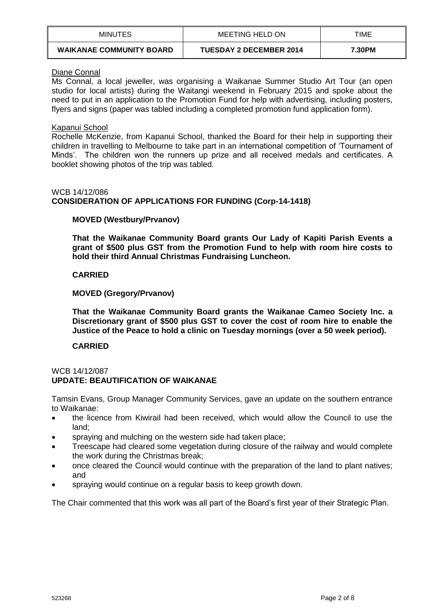| <b>MINUTES</b>                  | MEETING HELD ON                | TIME   |
|---------------------------------|--------------------------------|--------|
| <b>WAIKANAE COMMUNITY BOARD</b> | <b>TUESDAY 2 DECEMBER 2014</b> | 7.30PM |

# Diane Connal

Ms Connal, a local jeweller, was organising a Waikanae Summer Studio Art Tour (an open studio for local artists) during the Waitangi weekend in February 2015 and spoke about the need to put in an application to the Promotion Fund for help with advertising, including posters, flyers and signs (paper was tabled including a completed promotion fund application form).

## Kapanui School

Rochelle McKenzie, from Kapanui School, thanked the Board for their help in supporting their children in travelling to Melbourne to take part in an international competition of 'Tournament of Minds'. The children won the runners up prize and all received medals and certificates. A booklet showing photos of the trip was tabled.

# WCB 14/12/086

# **CONSIDERATION OF APPLICATIONS FOR FUNDING (Corp-14-1418)**

# **MOVED (Westbury/Prvanov)**

**That the Waikanae Community Board grants Our Lady of Kapiti Parish Events a grant of \$500 plus GST from the Promotion Fund to help with room hire costs to hold their third Annual Christmas Fundraising Luncheon.**

## **CARRIED**

## **MOVED (Gregory/Prvanov)**

**That the Waikanae Community Board grants the Waikanae Cameo Society Inc. a Discretionary grant of \$500 plus GST to cover the cost of room hire to enable the Justice of the Peace to hold a clinic on Tuesday mornings (over a 50 week period).**

## **CARRIED**

#### WCB 14/12/087 **UPDATE: BEAUTIFICATION OF WAIKANAE**

Tamsin Evans, Group Manager Community Services, gave an update on the southern entrance to Waikanae:

- the licence from Kiwirail had been received, which would allow the Council to use the land;
- spraying and mulching on the western side had taken place;
- Treescape had cleared some vegetation during closure of the railway and would complete the work during the Christmas break;
- once cleared the Council would continue with the preparation of the land to plant natives; and
- spraying would continue on a regular basis to keep growth down.

The Chair commented that this work was all part of the Board's first year of their Strategic Plan.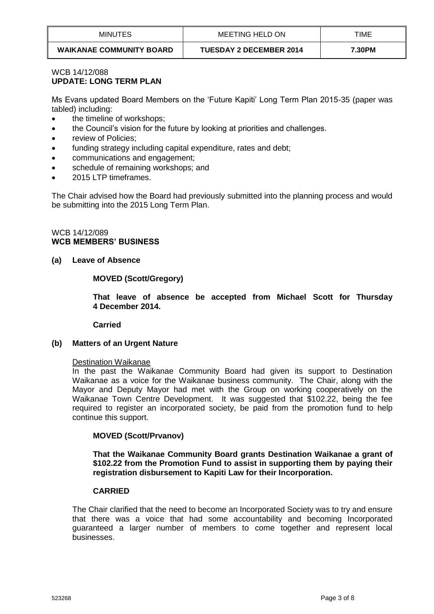| <b>MINUTES</b>                  | MEETING HELD ON                | TIME   |
|---------------------------------|--------------------------------|--------|
| <b>WAIKANAE COMMUNITY BOARD</b> | <b>TUESDAY 2 DECEMBER 2014</b> | 7.30PM |

# WCB 14/12/088 **UPDATE: LONG TERM PLAN**

Ms Evans updated Board Members on the 'Future Kapiti' Long Term Plan 2015-35 (paper was tabled) including:

- the timeline of workshops;
- the Council's vision for the future by looking at priorities and challenges.
- review of Policies;
- funding strategy including capital expenditure, rates and debt;
- communications and engagement;
- schedule of remaining workshops; and
- 2015 LTP timeframes.

The Chair advised how the Board had previously submitted into the planning process and would be submitting into the 2015 Long Term Plan.

# WCB 14/12/089 **WCB MEMBERS' BUSINESS**

# **(a) Leave of Absence**

# **MOVED (Scott/Gregory)**

**That leave of absence be accepted from Michael Scott for Thursday 4 December 2014.**

**Carried**

# **(b) Matters of an Urgent Nature**

## Destination Waikanae

In the past the Waikanae Community Board had given its support to Destination Waikanae as a voice for the Waikanae business community. The Chair, along with the Mayor and Deputy Mayor had met with the Group on working cooperatively on the Waikanae Town Centre Development. It was suggested that \$102.22, being the fee required to register an incorporated society, be paid from the promotion fund to help continue this support.

# **MOVED (Scott/Prvanov)**

**That the Waikanae Community Board grants Destination Waikanae a grant of \$102.22 from the Promotion Fund to assist in supporting them by paying their registration disbursement to Kapiti Law for their Incorporation.** 

## **CARRIED**

The Chair clarified that the need to become an Incorporated Society was to try and ensure that there was a voice that had some accountability and becoming Incorporated guaranteed a larger number of members to come together and represent local businesses.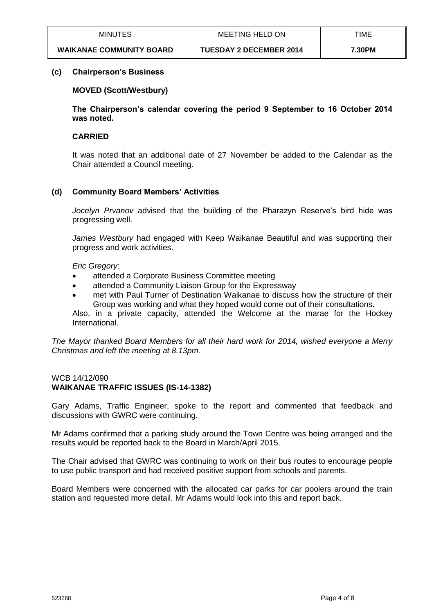| <b>MINUTES</b>                  | MEETING HELD ON                | TIME   |
|---------------------------------|--------------------------------|--------|
| <b>WAIKANAE COMMUNITY BOARD</b> | <b>TUESDAY 2 DECEMBER 2014</b> | 7.30PM |

## **(c) Chairperson's Business**

# **MOVED (Scott/Westbury)**

**The Chairperson's calendar covering the period 9 September to 16 October 2014 was noted.**

# **CARRIED**

It was noted that an additional date of 27 November be added to the Calendar as the Chair attended a Council meeting.

# **(d) Community Board Members' Activities**

*Jocelyn Prvanov* advised that the building of the Pharazyn Reserve's bird hide was progressing well.

*James Westbury* had engaged with Keep Waikanae Beautiful and was supporting their progress and work activities.

*Eric Gregory*:

- attended a Corporate Business Committee meeting
- attended a Community Liaison Group for the Expressway
- met with Paul Turner of Destination Waikanae to discuss how the structure of their Group was working and what they hoped would come out of their consultations. Also, in a private capacity, attended the Welcome at the marae for the Hockey International.

*The Mayor thanked Board Members for all their hard work for 2014, wished everyone a Merry Christmas and left the meeting at 8.13pm.*

## WCB 14/12/090 **WAIKANAE TRAFFIC ISSUES (IS-14-1382)**

Gary Adams, Traffic Engineer, spoke to the report and commented that feedback and discussions with GWRC were continuing.

Mr Adams confirmed that a parking study around the Town Centre was being arranged and the results would be reported back to the Board in March/April 2015.

The Chair advised that GWRC was continuing to work on their bus routes to encourage people to use public transport and had received positive support from schools and parents.

Board Members were concerned with the allocated car parks for car poolers around the train station and requested more detail. Mr Adams would look into this and report back.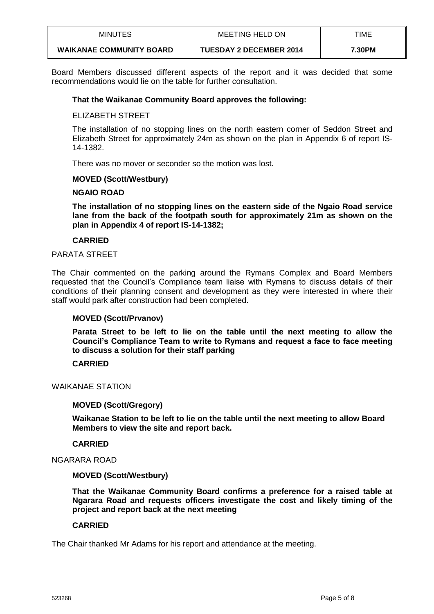| <b>MINUTES</b>                  | MEETING HELD ON                | TIME   |
|---------------------------------|--------------------------------|--------|
| <b>WAIKANAE COMMUNITY BOARD</b> | <b>TUESDAY 2 DECEMBER 2014</b> | 7.30PM |

Board Members discussed different aspects of the report and it was decided that some recommendations would lie on the table for further consultation.

## **That the Waikanae Community Board approves the following:**

## ELIZABETH STREET

The installation of no stopping lines on the north eastern corner of Seddon Street and Elizabeth Street for approximately 24m as shown on the plan in Appendix 6 of report IS-14-1382.

There was no mover or seconder so the motion was lost.

## **MOVED (Scott/Westbury)**

## **NGAIO ROAD**

**The installation of no stopping lines on the eastern side of the Ngaio Road service lane from the back of the footpath south for approximately 21m as shown on the plan in Appendix 4 of report IS-14-1382;**

## **CARRIED**

## PARATA STREET

The Chair commented on the parking around the Rymans Complex and Board Members requested that the Council's Compliance team liaise with Rymans to discuss details of their conditions of their planning consent and development as they were interested in where their staff would park after construction had been completed.

## **MOVED (Scott/Prvanov)**

**Parata Street to be left to lie on the table until the next meeting to allow the Council's Compliance Team to write to Rymans and request a face to face meeting to discuss a solution for their staff parking**

## **CARRIED**

WAIKANAE STATION

## **MOVED (Scott/Gregory)**

**Waikanae Station to be left to lie on the table until the next meeting to allow Board Members to view the site and report back.**

## **CARRIED**

# NGARARA ROAD

## **MOVED (Scott/Westbury)**

**That the Waikanae Community Board confirms a preference for a raised table at Ngarara Road and requests officers investigate the cost and likely timing of the project and report back at the next meeting**

## **CARRIED**

The Chair thanked Mr Adams for his report and attendance at the meeting.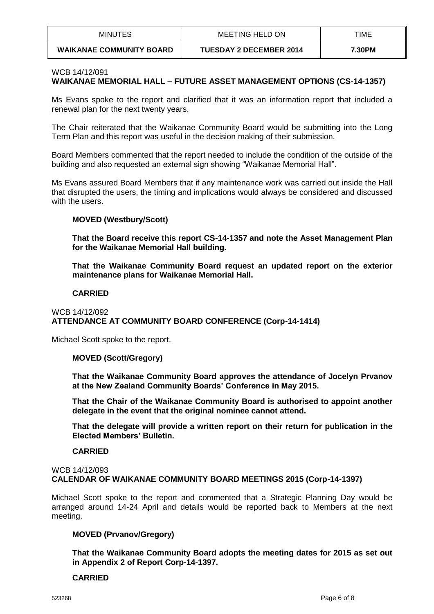| <b>MINUTES</b>                  | MEETING HELD ON                | TIME   |
|---------------------------------|--------------------------------|--------|
| <b>WAIKANAE COMMUNITY BOARD</b> | <b>TUESDAY 2 DECEMBER 2014</b> | 7.30PM |

#### WCB 14/12/091

# **WAIKANAE MEMORIAL HALL – FUTURE ASSET MANAGEMENT OPTIONS (CS-14-1357)**

Ms Evans spoke to the report and clarified that it was an information report that included a renewal plan for the next twenty years.

The Chair reiterated that the Waikanae Community Board would be submitting into the Long Term Plan and this report was useful in the decision making of their submission.

Board Members commented that the report needed to include the condition of the outside of the building and also requested an external sign showing "Waikanae Memorial Hall".

Ms Evans assured Board Members that if any maintenance work was carried out inside the Hall that disrupted the users, the timing and implications would always be considered and discussed with the users.

## **MOVED (Westbury/Scott)**

**That the Board receive this report CS-14-1357 and note the Asset Management Plan for the Waikanae Memorial Hall building.**

**That the Waikanae Community Board request an updated report on the exterior maintenance plans for Waikanae Memorial Hall.**

## **CARRIED**

## WCB 14/12/092 **ATTENDANCE AT COMMUNITY BOARD CONFERENCE (Corp-14-1414)**

Michael Scott spoke to the report.

## **MOVED (Scott/Gregory)**

**That the Waikanae Community Board approves the attendance of Jocelyn Prvanov at the New Zealand Community Boards' Conference in May 2015.**

**That the Chair of the Waikanae Community Board is authorised to appoint another delegate in the event that the original nominee cannot attend.**

**That the delegate will provide a written report on their return for publication in the Elected Members' Bulletin.**

## **CARRIED**

#### WCB 14/12/093 **CALENDAR OF WAIKANAE COMMUNITY BOARD MEETINGS 2015 (Corp-14-1397)**

Michael Scott spoke to the report and commented that a Strategic Planning Day would be arranged around 14-24 April and details would be reported back to Members at the next meeting.

## **MOVED (Prvanov/Gregory)**

**That the Waikanae Community Board adopts the meeting dates for 2015 as set out in Appendix 2 of Report Corp-14-1397.**

## **CARRIED**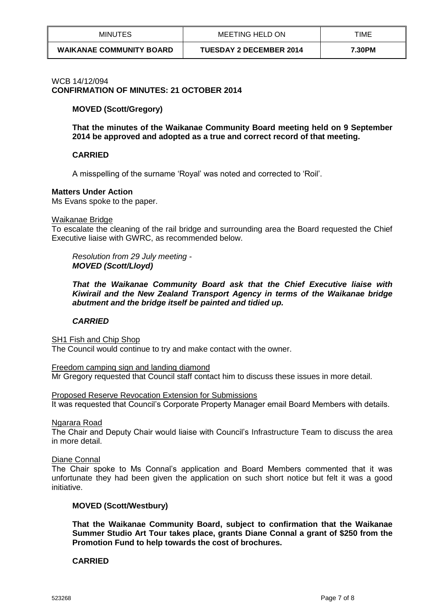| <b>MINUTES</b>                  | MEETING HELD ON                | TIME   |
|---------------------------------|--------------------------------|--------|
| <b>WAIKANAE COMMUNITY BOARD</b> | <b>TUESDAY 2 DECEMBER 2014</b> | 7.30PM |

#### WCB 14/12/094

**CONFIRMATION OF MINUTES: 21 OCTOBER 2014**

## **MOVED (Scott/Gregory)**

**That the minutes of the Waikanae Community Board meeting held on 9 September 2014 be approved and adopted as a true and correct record of that meeting.** 

## **CARRIED**

A misspelling of the surname 'Royal' was noted and corrected to 'Roil'.

#### **Matters Under Action**

Ms Evans spoke to the paper.

#### Waikanae Bridge

To escalate the cleaning of the rail bridge and surrounding area the Board requested the Chief Executive liaise with GWRC, as recommended below.

*Resolution from 29 July meeting - MOVED (Scott/Lloyd)*

*That the Waikanae Community Board ask that the Chief Executive liaise with Kiwirail and the New Zealand Transport Agency in terms of the Waikanae bridge abutment and the bridge itself be painted and tidied up.*

## *CARRIED*

SH1 Fish and Chip Shop

The Council would continue to try and make contact with the owner.

Freedom camping sign and landing diamond Mr Gregory requested that Council staff contact him to discuss these issues in more detail.

Proposed Reserve Revocation Extension for Submissions It was requested that Council's Corporate Property Manager email Board Members with details.

Ngarara Road

The Chair and Deputy Chair would liaise with Council's Infrastructure Team to discuss the area in more detail.

Diane Connal

The Chair spoke to Ms Connal's application and Board Members commented that it was unfortunate they had been given the application on such short notice but felt it was a good initiative.

## **MOVED (Scott/Westbury)**

**That the Waikanae Community Board, subject to confirmation that the Waikanae Summer Studio Art Tour takes place, grants Diane Connal a grant of \$250 from the Promotion Fund to help towards the cost of brochures.**

## **CARRIED**